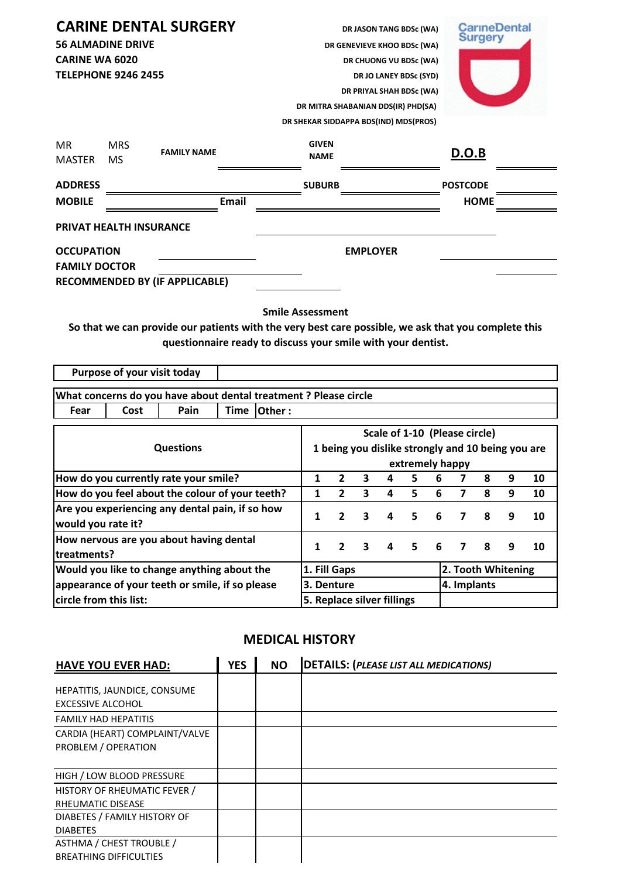|                            |                         | <b>CARINE DENTAL SURGERY</b>          | DR JASON TANG BDSc (WA)               | <b>CarineDental</b> |
|----------------------------|-------------------------|---------------------------------------|---------------------------------------|---------------------|
| <b>56 ALMADINE DRIVE</b>   |                         |                                       | DR GENEVIEVE KHOO BDSc (WA)           | <b>Surgery</b>      |
| <b>CARINE WA 6020</b>      |                         |                                       | DR CHUONG VU BDSc (WA)                |                     |
| <b>TELEPHONE 9246 2455</b> |                         |                                       | DR JO LANEY BDSc (SYD)                |                     |
|                            |                         |                                       | DR PRIYAL SHAH BDSc (WA)              |                     |
|                            |                         |                                       | DR MITRA SHABANIAN DDS(IR) PHD(SA)    |                     |
|                            |                         |                                       | DR SHEKAR SIDDAPPA BDS(IND) MDS(PROS) |                     |
| <b>MR</b><br><b>MASTER</b> | <b>MRS</b><br><b>MS</b> | <b>FAMILY NAME</b>                    | <b>GIVEN</b><br><b>NAME</b>           | D.O.B               |
| <b>ADDRESS</b>             |                         |                                       | <b>SUBURB</b>                         | <b>POSTCODE</b>     |
| <b>MOBILE</b>              |                         | Email                                 |                                       | <b>HOME</b>         |
|                            |                         | <b>PRIVAT HEALTH INSURANCE</b>        |                                       |                     |
| <b>OCCUPATION</b>          |                         |                                       | <b>EMPLOYER</b>                       |                     |
| <b>FAMILY DOCTOR</b>       |                         |                                       |                                       |                     |
|                            |                         | <b>RECOMMENDED BY (IF APPLICABLE)</b> |                                       |                     |

**Smile Assessment**

**So that we can provide our patients with the very best care possible, we ask that you complete this questionnaire ready to discuss your smile with your dentist.** 

**Purpose of your visit today**

| What concerns do you have about dental treatment ? Please circle |      |      |  |               |  |  |  |
|------------------------------------------------------------------|------|------|--|---------------|--|--|--|
| Fear                                                             | Cost | Pain |  | Time   Other: |  |  |  |
|                                                                  |      |      |  |               |  |  |  |

|                                                                                                | Scale of 1-10 (Please circle)                     |                                    |                         |              |       |   |                |    |   |    |
|------------------------------------------------------------------------------------------------|---------------------------------------------------|------------------------------------|-------------------------|--------------|-------|---|----------------|----|---|----|
| <b>Questions</b>                                                                               | 1 being you dislike strongly and 10 being you are |                                    |                         |              |       |   |                |    |   |    |
|                                                                                                | extremely happy                                   |                                    |                         |              |       |   |                |    |   |    |
| How do you currently rate your smile?                                                          |                                                   | 2                                  | 3                       | 4            | 5.    | 6 |                | 8  | 9 | 10 |
| How do you feel about the colour of your teeth?                                                | 1                                                 | $\overline{2}$                     | 3                       | 4            | 5     | 6 | 7              | 8  | 9 | 10 |
| Are you experiencing any dental pain, if so how<br>would you rate it?                          |                                                   | $\overline{2}$                     | 3                       | $\mathbf{4}$ | 5.    | 6 | $\overline{7}$ | -8 | 9 | 10 |
| How nervous are you about having dental<br>ltreatments?                                        |                                                   | $\overline{2}$                     | $\overline{\mathbf{3}}$ |              | 4 5 6 |   | 7 8            |    | 9 | 10 |
| Would you like to change anything about the<br>appearance of your teeth or smile, if so please |                                                   | 2. Tooth Whitening<br>1. Fill Gaps |                         |              |       |   |                |    |   |    |
|                                                                                                |                                                   | 3. Denture                         |                         |              |       |   | 4. Implants    |    |   |    |
| circle from this list:                                                                         |                                                   | 5. Replace silver fillings         |                         |              |       |   |                |    |   |    |

## **MEDICAL HISTORY**

| <b>HAVE YOU EVER HAD:</b>                                 | <b>YES</b> | <b>NO</b> | <b>DETAILS: (PLEASE LIST ALL MEDICATIONS)</b> |
|-----------------------------------------------------------|------------|-----------|-----------------------------------------------|
| HEPATITIS, JAUNDICE, CONSUME<br><b>EXCESSIVE ALCOHOL</b>  |            |           |                                               |
| <b>FAMILY HAD HEPATITIS</b>                               |            |           |                                               |
| CARDIA (HEART) COMPLAINT/VALVE<br>PROBLEM / OPERATION     |            |           |                                               |
| HIGH / LOW BLOOD PRESSURE                                 |            |           |                                               |
| <b>HISTORY OF RHEUMATIC FEVER /</b><br>RHEUMATIC DISEASE  |            |           |                                               |
| DIABETES / FAMILY HISTORY OF<br><b>DIABETES</b>           |            |           |                                               |
| ASTHMA / CHEST TROUBLE /<br><b>BREATHING DIFFICULTIES</b> |            |           |                                               |